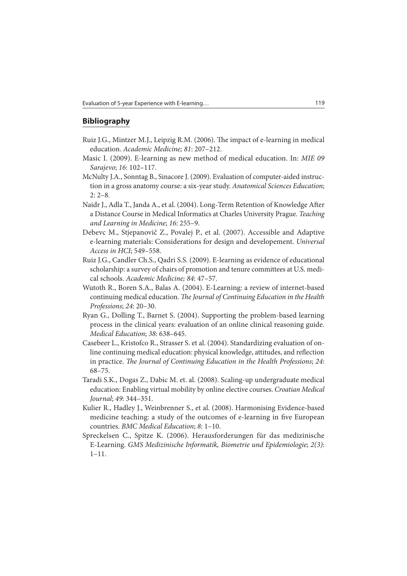## **Bibliography**

- Ruiz J.G., Mintzer M.J., Leipzig R.M. (2006). The impact of e-learning in medical education. Academic Medicine; 81: 207–212.
- Masic I. (2009). E-learning as new method of medical education. In: MIE 09 Sarajevo; 16: 102–117.
- McNulty J.A., Sonntag B., Sinacore J. (2009). Evaluation of computer-aided instruction in a gross anatomy course: a six-year study. Anatomical Sciences Education; 2: 2–8.
- Naidr J., Adla T., Janda A., et al. (2004). Long-Term Retention of Knowledge After a Distance Course in Medical Informatics at Charles University Prague. Teaching and Learning in Medicine; 16: 255–9.
- Debevc M., Stjepanovič Z., Povalej P., et al. (2007). Accessible and Adaptive e-learning materials: Considerations for design and developement. Universal Access in HCI; 549–558.
- Ruiz J.G., Candler Ch.S., Qadri S.S. (2009). E-learning as evidence of educational scholarship: a survey of chairs of promotion and tenure committees at U.S. medical schools. Academic Medicine; 84: 47–57.
- Wutoth R., Boren S.A., Balas A. (2004). E-Learning: a review of internet-based continuing medical education. The Journal of Continuing Education in the Health Professions; 24: 20–30.
- Ryan G., Dolling T., Barnet S. (2004). Supporting the problem-based learning process in the clinical years: evaluation of an online clinical reasoning guide. Medical Education; 38: 638–645.
- Casebeer L., Kristofco R., Strasser S. et al. (2004). Standardizing evaluation of online continuing medical education: physical knowledge, attitudes, and reflection in practice. The Journal of Continuing Education in the Health Professions; 24: 68–75.
- Taradi S.K., Dogas Z., Dabic M. et. al. (2008). Scaling-up undergraduate medical education: Enabling virtual mobility by online elective courses. Croatian Medical Journal; 49: 344–351.
- Kulier R., Hadley J., Weinbrenner S., et al. (2008). Harmonising Evidence-based medicine teaching: a study of the outcomes of e-learning in five European countries. BMC Medical Education; 8: 1–10.
- Spreckelsen C., Spitze K. (2006). Herausforderungen für das medizinische E-Learning. GMS Medizinische Informatik, Biometrie und Epidemiologie; 2(3): 1–11.